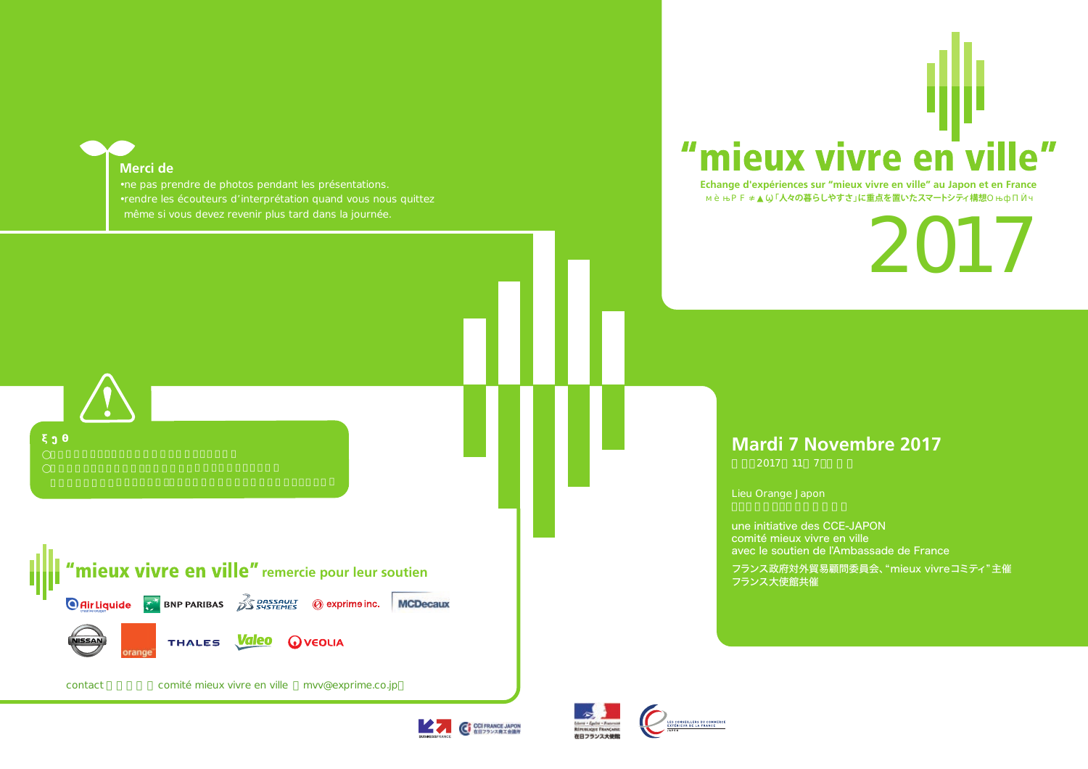### **Merci de**

**UISSAN** 

- 
- 

contact comité mieux vivre en ville mvv@exprime.co.jp

**O flir Liquide** T BNP PARIBAS **BE ARRISED BY A SUBSAULT O exprime inc.** MCDecaux

THALES **Valeo** QVEOLIA

### mieux vivre en  $\mathbf{e}^{\prime\prime}$  $\boldsymbol{\Pi}$

**Echange d'expériences sur "mieux vivre en ville" au Japon et en France** 「人々の暮らしやすさ」に重点を置いたスマートシティ構想

 $\sum_{i=1}^{n}$ 

# **Mardi 7 Novembre 2017**

2017 11 7

Lieu Orange Japon

une initiative des CCE-JAPON comité mieux vivre en ville avec le soutien de l'Ambassade de France フランス政府対外貿易顧問委員会、"mieux vivreコミティ"主催 **"mieux vivre en ville"** remercie pour leur soutien **remercie de la production de la production de la production**<br>De la production de la production de la production de la production de la production de la production de la